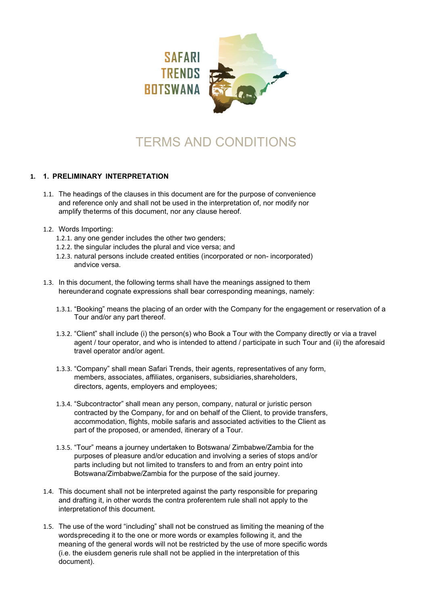

# TERMS AND CONDITIONS

## **1. 1. PRELIMINARY INTERPRETATION**

- 1.1. The headings of the clauses in this document are for the purpose of convenience and reference only and shall not be used in the interpretation of, nor modify nor amplify theterms of this document, nor any clause hereof.
- 1.2. Words Importing:
	- 1.2.1. any one gender includes the other two genders;
	- 1.2.2. the singular includes the plural and vice versa; and
	- 1.2.3. natural persons include created entities (incorporated or non- incorporated) andvice versa.
- 1.3. In this document, the following terms shall have the meanings assigned to them hereunderand cognate expressions shall bear corresponding meanings, namely:
	- 1.3.1. "Booking" means the placing of an order with the Company for the engagement or reservation of a Tour and/or any part thereof.
	- 1.3.2. "Client" shall include (i) the person(s) who Book a Tour with the Company directly or via a travel agent / tour operator, and who is intended to attend / participate in such Tour and (ii) the aforesaid travel operator and/or agent.
	- 1.3.3. "Company" shall mean Safari Trends, their agents, representatives of any form, members, associates, affiliates, organisers, subsidiaries,shareholders, directors, agents, employers and employees;
	- 1.3.4. "Subcontractor" shall mean any person, company, natural or juristic person contracted by the Company, for and on behalf of the Client, to provide transfers, accommodation, flights, mobile safaris and associated activities to the Client as part of the proposed, or amended, itinerary of a Tour.
	- 1.3.5. "Tour" means a journey undertaken to Botswana/ Zimbabwe/Zambia for the purposes of pleasure and/or education and involving a series of stops and/or parts including but not limited to transfers to and from an entry point into Botswana/Zimbabwe/Zambia for the purpose of the said journey.
- 1.4. This document shall not be interpreted against the party responsible for preparing and drafting it, in other words the contra proferentem rule shall not apply to the interpretationof this document.
- 1.5. The use of the word "including" shall not be construed as limiting the meaning of the wordspreceding it to the one or more words or examples following it, and the meaning of the general words will not be restricted by the use of more specific words (i.e. the eiusdem generis rule shall not be applied in the interpretation of this document).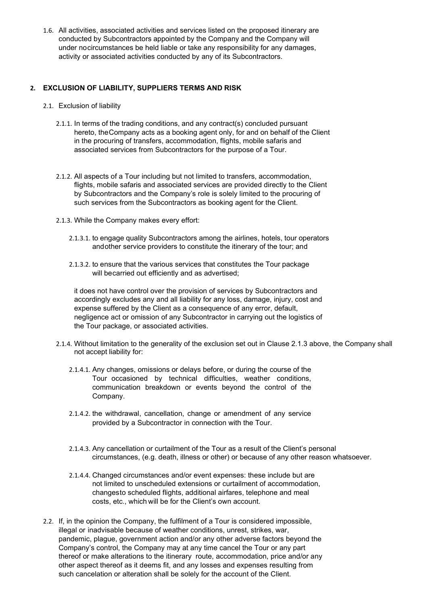1.6. All activities, associated activities and services listed on the proposed itinerary are conducted by Subcontractors appointed by the Company and the Company will under nocircumstances be held liable or take any responsibility for any damages, activity or associated activities conducted by any of its Subcontractors.

#### **2. EXCLUSION OF LIABILITY, SUPPLIERS TERMS AND RISK**

- 2.1. Exclusion of liability
	- 2.1.1. In terms of the trading conditions, and any contract(s) concluded pursuant hereto, theCompany acts as a booking agent only, for and on behalf of the Client in the procuring of transfers, accommodation, flights, mobile safaris and associated services from Subcontractors for the purpose of a Tour.
	- 2.1.2. All aspects of a Tour including but not limited to transfers, accommodation, flights, mobile safaris and associated services are provided directly to the Client by Subcontractors and the Company's role is solely limited to the procuring of such services from the Subcontractors as booking agent for the Client.
	- 2.1.3. While the Company makes every effort:
		- 2.1.3.1. to engage quality Subcontractors among the airlines, hotels, tour operators andother service providers to constitute the itinerary of the tour; and
		- 2.1.3.2. to ensure that the various services that constitutes the Tour package will becarried out efficiently and as advertised;

it does not have control over the provision of services by Subcontractors and accordingly excludes any and all liability for any loss, damage, injury, cost and expense suffered by the Client as a consequence of any error, default, negligence act or omission of any Subcontractor in carrying out the logistics of the Tour package, or associated activities.

- 2.1.4. Without limitation to the generality of the exclusion set out in Clause 2.1.3 above, the Company shall not accept liability for:
	- 2.1.4.1. Any changes, omissions or delays before, or during the course of the Tour occasioned by technical difficulties, weather conditions, communication breakdown or events beyond the control of the Company.
	- 2.1.4.2. the withdrawal, cancellation, change or amendment of any service provided by a Subcontractor in connection with the Tour.
	- 2.1.4.3. Any cancellation or curtailment of the Tour as a result of the Client's personal circumstances, (e.g. death, illness or other) or because of any other reason whatsoever.
	- 2.1.4.4. Changed circumstances and/or event expenses: these include but are not limited to unscheduled extensions or curtailment of accommodation, changesto scheduled flights, additional airfares, telephone and meal costs, etc., which will be for the Client's own account.
- 2.2. If, in the opinion the Company, the fulfilment of a Tour is considered impossible, illegal or inadvisable because of weather conditions, unrest, strikes, war, pandemic, plague, government action and/or any other adverse factors beyond the Company's control, the Company may at any time cancel the Tour or any part thereof or make alterations to the itinerary route, accommodation, price and/or any other aspect thereof as it deems fit, and any losses and expenses resulting from such cancelation or alteration shall be solely for the account of the Client.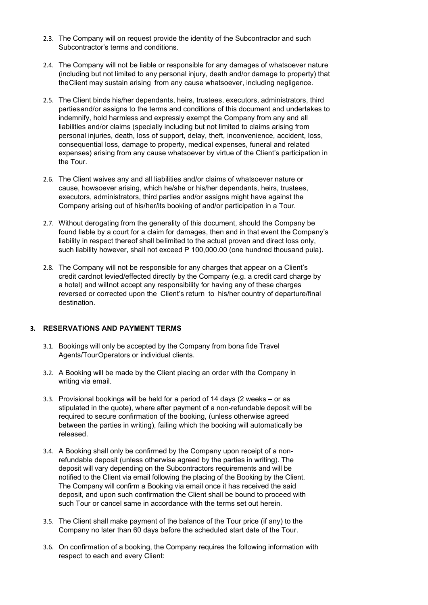- 2.3. The Company will on request provide the identity of the Subcontractor and such Subcontractor's terms and conditions.
- 2.4. The Company will not be liable or responsible for any damages of whatsoever nature (including but not limited to any personal injury, death and/or damage to property) that theClient may sustain arising from any cause whatsoever, including negligence.
- 2.5. The Client binds his/her dependants, heirs, trustees, executors, administrators, third partiesand/or assigns to the terms and conditions of this document and undertakes to indemnify, hold harmless and expressly exempt the Company from any and all liabilities and/or claims (specially including but not limited to claims arising from personal injuries, death, loss of support, delay, theft, inconvenience, accident, loss, consequential loss, damage to property, medical expenses, funeral and related expenses) arising from any cause whatsoever by virtue of the Client's participation in the Tour.
- 2.6. The Client waives any and all liabilities and/or claims of whatsoever nature or cause, howsoever arising, which he/she or his/her dependants, heirs, trustees, executors, administrators, third parties and/or assigns might have against the Company arising out of his/her/its booking of and/or participation in a Tour.
- 2.7. Without derogating from the generality of this document, should the Company be found liable by a court for a claim for damages, then and in that event the Company's liability in respect thereof shall belimited to the actual proven and direct loss only, such liability however, shall not exceed P 100,000.00 (one hundred thousand pula).
- 2.8. The Company will not be responsible for any charges that appear on a Client's credit cardnot levied/effected directly by the Company (e.g. a credit card charge by a hotel) and willnot accept any responsibility for having any of these charges reversed or corrected upon the Client's return to his/her country of departure/final destination.

## **3. RESERVATIONS AND PAYMENT TERMS**

- 3.1. Bookings will only be accepted by the Company from bona fide Travel Agents/TourOperators or individual clients.
- 3.2. A Booking will be made by the Client placing an order with the Company in writing via email.
- 3.3. Provisional bookings will be held for a period of 14 days (2 weeks or as stipulated in the quote), where after payment of a non-refundable deposit will be required to secure confirmation of the booking, (unless otherwise agreed between the parties in writing), failing which the booking will automatically be released.
- 3.4. A Booking shall only be confirmed by the Company upon receipt of a nonrefundable deposit (unless otherwise agreed by the parties in writing). The deposit will vary depending on the Subcontractors requirements and will be notified to the Client via email following the placing of the Booking by the Client. The Company will confirm a Booking via email once it has received the said deposit, and upon such confirmation the Client shall be bound to proceed with such Tour or cancel same in accordance with the terms set out herein.
- 3.5. The Client shall make payment of the balance of the Tour price (if any) to the Company no later than 60 days before the scheduled start date of the Tour.
- 3.6. On confirmation of a booking, the Company requires the following information with respect to each and every Client: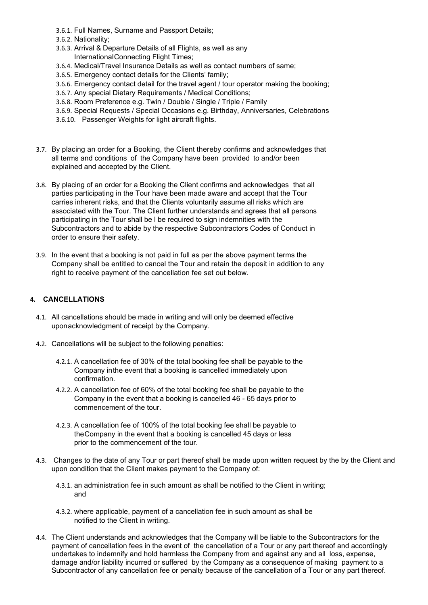- 3.6.1. Full Names, Surname and Passport Details;
- 3.6.2. Nationality;
- 3.6.3. Arrival & Departure Details of all Flights, as well as any InternationalConnecting Flight Times;
- 3.6.4. Medical/Travel Insurance Details as well as contact numbers of same;
- 3.6.5. Emergency contact details for the Clients' family;
- 3.6.6. Emergency contact detail for the travel agent / tour operator making the booking;
- 3.6.7. Any special Dietary Requirements / Medical Conditions;
- 3.6.8. Room Preference e.g. Twin / Double / Single / Triple / Family
- 3.6.9. Special Requests / Special Occasions e.g. Birthday, Anniversaries, Celebrations
- 3.6.10. Passenger Weights for light aircraft flights.
- 3.7. By placing an order for a Booking, the Client thereby confirms and acknowledges that all terms and conditions of the Company have been provided to and/or been explained and accepted by the Client.
- 3.8. By placing of an order for a Booking the Client confirms and acknowledges that all parties participating in the Tour have been made aware and accept that the Tour carries inherent risks, and that the Clients voluntarily assume all risks which are associated with the Tour. The Client further understands and agrees that all persons participating in the Tour shall be l be required to sign indemnities with the Subcontractors and to abide by the respective Subcontractors Codes of Conduct in order to ensure their safety.
- 3.9. In the event that a booking is not paid in full as per the above payment terms the Company shall be entitled to cancel the Tour and retain the deposit in addition to any right to receive payment of the cancellation fee set out below.

## **4. CANCELLATIONS**

- 4.1. All cancellations should be made in writing and will only be deemed effective uponacknowledgment of receipt by the Company.
- 4.2. Cancellations will be subject to the following penalties:
	- 4.2.1. A cancellation fee of 30% of the total booking fee shall be payable to the Company inthe event that a booking is cancelled immediately upon confirmation.
	- 4.2.2. A cancellation fee of 60% of the total booking fee shall be payable to the Company in the event that a booking is cancelled 46 - 65 days prior to commencement of the tour.
	- 4.2.3. A cancellation fee of 100% of the total booking fee shall be payable to theCompany in the event that a booking is cancelled 45 days or less prior to the commencement of the tour.
- 4.3. Changes to the date of any Tour or part thereof shall be made upon written request by the by the Client and upon condition that the Client makes payment to the Company of:
	- 4.3.1. an administration fee in such amount as shall be notified to the Client in writing; and
	- 4.3.2. where applicable, payment of a cancellation fee in such amount as shall be notified to the Client in writing.
- 4.4. The Client understands and acknowledges that the Company will be liable to the Subcontractors for the payment of cancellation fees in the event of the cancellation of a Tour or any part thereof and accordingly undertakes to indemnify and hold harmless the Company from and against any and all loss, expense, damage and/or liability incurred or suffered by the Company as a consequence of making payment to a Subcontractor of any cancellation fee or penalty because of the cancellation of a Tour or any part thereof.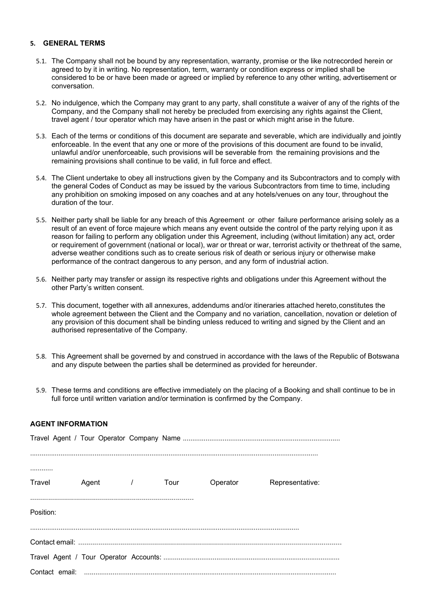#### **5. GENERAL TERMS**

- 5.1. The Company shall not be bound by any representation, warranty, promise or the like notrecorded herein or agreed to by it in writing. No representation, term, warranty or condition express or implied shall be considered to be or have been made or agreed or implied by reference to any other writing, advertisement or conversation.
- 5.2. No indulgence, which the Company may grant to any party, shall constitute a waiver of any of the rights of the Company, and the Company shall not hereby be precluded from exercising any rights against the Client, travel agent / tour operator which may have arisen in the past or which might arise in the future.
- 5.3. Each of the terms or conditions of this document are separate and severable, which are individually and jointly enforceable. In the event that any one or more of the provisions of this document are found to be invalid, unlawful and/or unenforceable, such provisions will be severable from the remaining provisions and the remaining provisions shall continue to be valid, in full force and effect.
- 5.4. The Client undertake to obey all instructions given by the Company and its Subcontractors and to comply with the general Codes of Conduct as may be issued by the various Subcontractors from time to time, including any prohibition on smoking imposed on any coaches and at any hotels/venues on any tour, throughout the duration of the tour.
- 5.5. Neither party shall be liable for any breach of this Agreement or other failure performance arising solely as a result of an event of force majeure which means any event outside the control of the party relying upon it as reason for failing to perform any obligation under this Agreement, including (without limitation) any act, order or requirement of government (national or local), war or threat or war, terrorist activity or thethreat of the same, adverse weather conditions such as to create serious risk of death or serious injury or otherwise make performance of the contract dangerous to any person, and any form of industrial action.
- 5.6. Neither party may transfer or assign its respective rights and obligations under this Agreement without the other Party's written consent.
- 5.7. This document, together with all annexures, addendums and/or itineraries attached hereto,constitutes the whole agreement between the Client and the Company and no variation, cancellation, novation or deletion of any provision of this document shall be binding unless reduced to writing and signed by the Client and an authorised representative of the Company.
- 5.8. This Agreement shall be governed by and construed in accordance with the laws of the Republic of Botswana and any dispute between the parties shall be determined as provided for hereunder.
- 5.9. These terms and conditions are effective immediately on the placing of a Booking and shall continue to be in full force until written variation and/or termination is confirmed by the Company.

| <b>AGENT INFORMATION</b> |  |
|--------------------------|--|
|                          |  |

| Travel Agent / Tour |  | Operator | Representative: |
|---------------------|--|----------|-----------------|
|                     |  |          |                 |
| Position:           |  |          |                 |
|                     |  |          |                 |
|                     |  |          |                 |
|                     |  |          |                 |
|                     |  |          |                 |
|                     |  |          |                 |